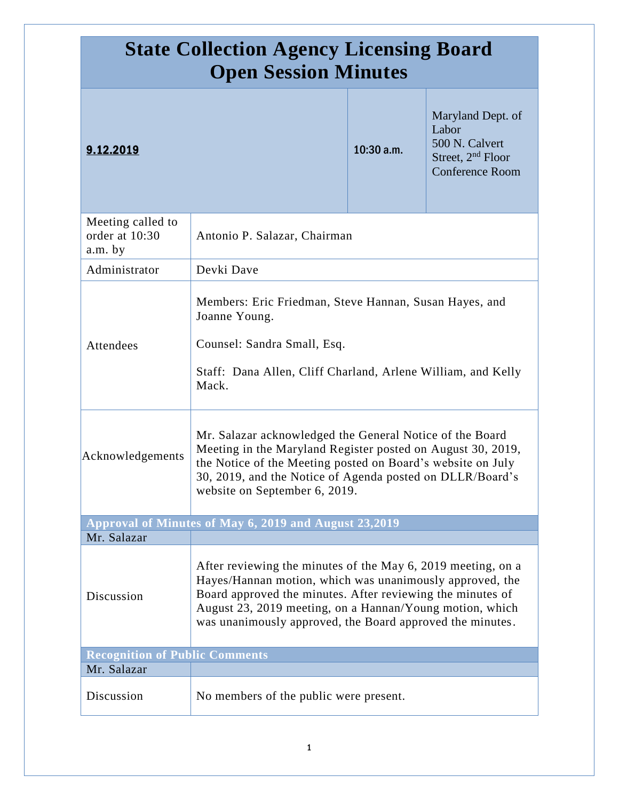| <b>State Collection Agency Licensing Board</b><br><b>Open Session Minutes</b> |                                                                                                                                                                                                                                                                                                                 |              |                                                                                                         |
|-------------------------------------------------------------------------------|-----------------------------------------------------------------------------------------------------------------------------------------------------------------------------------------------------------------------------------------------------------------------------------------------------------------|--------------|---------------------------------------------------------------------------------------------------------|
| 9.12.2019                                                                     |                                                                                                                                                                                                                                                                                                                 | $10:30$ a.m. | Maryland Dept. of<br>Labor<br>500 N. Calvert<br>Street, 2 <sup>nd</sup> Floor<br><b>Conference Room</b> |
| Meeting called to<br>order at 10:30<br>a.m. by                                | Antonio P. Salazar, Chairman                                                                                                                                                                                                                                                                                    |              |                                                                                                         |
| Administrator                                                                 | Devki Dave                                                                                                                                                                                                                                                                                                      |              |                                                                                                         |
| Attendees                                                                     | Members: Eric Friedman, Steve Hannan, Susan Hayes, and<br>Joanne Young.<br>Counsel: Sandra Small, Esq.<br>Staff: Dana Allen, Cliff Charland, Arlene William, and Kelly<br>Mack.                                                                                                                                 |              |                                                                                                         |
| Acknowledgements                                                              | Mr. Salazar acknowledged the General Notice of the Board<br>Meeting in the Maryland Register posted on August 30, 2019,<br>the Notice of the Meeting posted on Board's website on July<br>30, 2019, and the Notice of Agenda posted on DLLR/Board's<br>website on September 6, 2019.                            |              |                                                                                                         |
|                                                                               | Approval of Minutes of May 6, 2019 and August 23,2019                                                                                                                                                                                                                                                           |              |                                                                                                         |
| Mr. Salazar<br>Discussion                                                     | After reviewing the minutes of the May 6, 2019 meeting, on a<br>Hayes/Hannan motion, which was unanimously approved, the<br>Board approved the minutes. After reviewing the minutes of<br>August 23, 2019 meeting, on a Hannan/Young motion, which<br>was unanimously approved, the Board approved the minutes. |              |                                                                                                         |
| <b>Recognition of Public Comments</b>                                         |                                                                                                                                                                                                                                                                                                                 |              |                                                                                                         |
| Mr. Salazar<br>Discussion                                                     | No members of the public were present.                                                                                                                                                                                                                                                                          |              |                                                                                                         |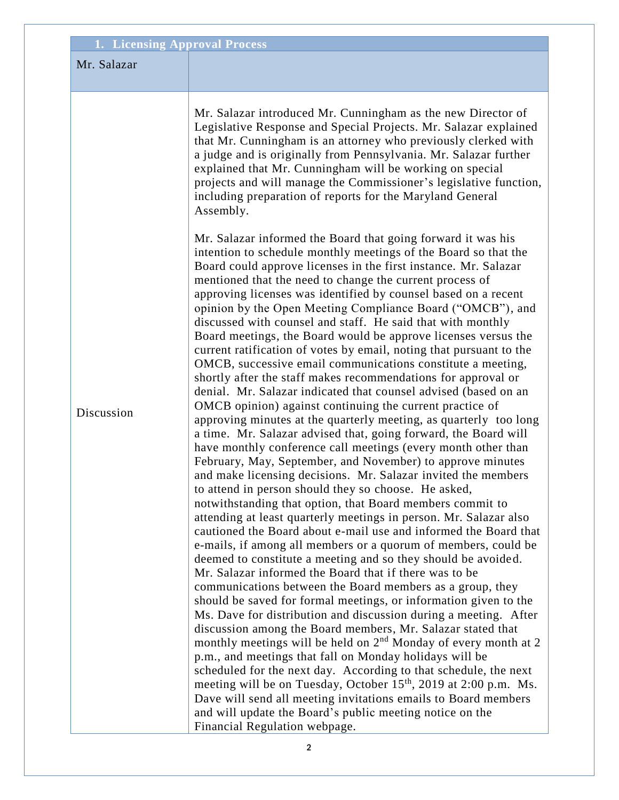|             | <b>1. Licensing Approval Process</b>                                                                                                                                                                                                                                                                                                                                                                                                                                                                                                                                                                                                                                                                                                   |
|-------------|----------------------------------------------------------------------------------------------------------------------------------------------------------------------------------------------------------------------------------------------------------------------------------------------------------------------------------------------------------------------------------------------------------------------------------------------------------------------------------------------------------------------------------------------------------------------------------------------------------------------------------------------------------------------------------------------------------------------------------------|
| Mr. Salazar |                                                                                                                                                                                                                                                                                                                                                                                                                                                                                                                                                                                                                                                                                                                                        |
| Discussion  | Mr. Salazar introduced Mr. Cunningham as the new Director of<br>Legislative Response and Special Projects. Mr. Salazar explained<br>that Mr. Cunningham is an attorney who previously clerked with                                                                                                                                                                                                                                                                                                                                                                                                                                                                                                                                     |
|             | a judge and is originally from Pennsylvania. Mr. Salazar further<br>explained that Mr. Cunningham will be working on special<br>projects and will manage the Commissioner's legislative function,<br>including preparation of reports for the Maryland General<br>Assembly.                                                                                                                                                                                                                                                                                                                                                                                                                                                            |
|             | Mr. Salazar informed the Board that going forward it was his<br>intention to schedule monthly meetings of the Board so that the<br>Board could approve licenses in the first instance. Mr. Salazar<br>mentioned that the need to change the current process of<br>approving licenses was identified by counsel based on a recent<br>opinion by the Open Meeting Compliance Board ("OMCB"), and<br>discussed with counsel and staff. He said that with monthly<br>Board meetings, the Board would be approve licenses versus the<br>current ratification of votes by email, noting that pursuant to the<br>OMCB, successive email communications constitute a meeting,<br>shortly after the staff makes recommendations for approval or |
|             | denial. Mr. Salazar indicated that counsel advised (based on an<br>OMCB opinion) against continuing the current practice of<br>approving minutes at the quarterly meeting, as quarterly too long<br>a time. Mr. Salazar advised that, going forward, the Board will<br>have monthly conference call meetings (every month other than<br>February, May, September, and November) to approve minutes<br>and make licensing decisions. Mr. Salazar invited the members<br>to attend in person should they so choose. He asked,<br>notwithstanding that option, that Board members commit to<br>attending at least quarterly meetings in person. Mr. Salazar also                                                                          |
|             | cautioned the Board about e-mail use and informed the Board that<br>e-mails, if among all members or a quorum of members, could be<br>deemed to constitute a meeting and so they should be avoided.<br>Mr. Salazar informed the Board that if there was to be<br>communications between the Board members as a group, they<br>should be saved for formal meetings, or information given to the<br>Ms. Dave for distribution and discussion during a meeting. After                                                                                                                                                                                                                                                                     |
|             | discussion among the Board members, Mr. Salazar stated that<br>monthly meetings will be held on $2nd$ Monday of every month at 2<br>p.m., and meetings that fall on Monday holidays will be<br>scheduled for the next day. According to that schedule, the next<br>meeting will be on Tuesday, October 15 <sup>th</sup> , 2019 at 2:00 p.m. Ms.<br>Dave will send all meeting invitations emails to Board members<br>and will update the Board's public meeting notice on the                                                                                                                                                                                                                                                          |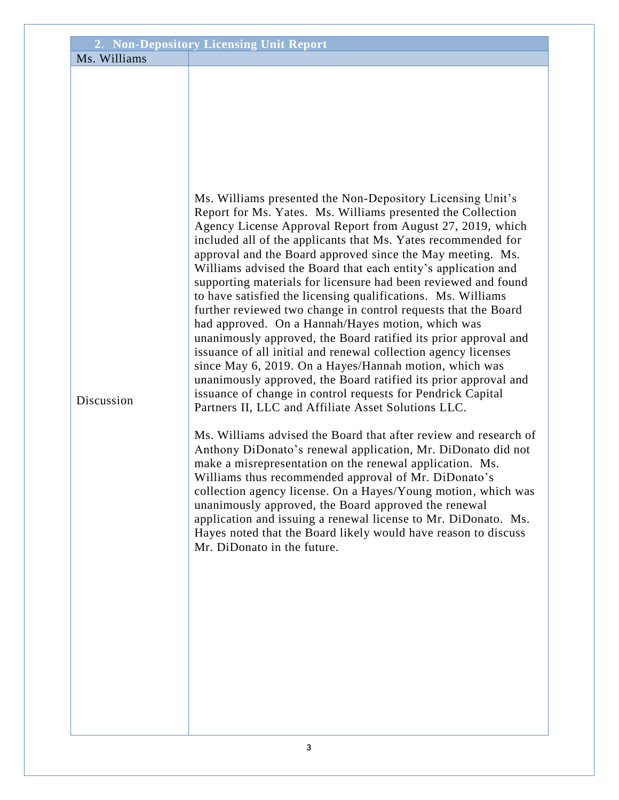|              | 2. Non-Depository Licensing Unit Report                                                                                                                                                                                                                                                                                                                                                                                                                                                                                                                                                                                                                                                                                                                                                                                                                                                                                                                                                                                                                                                                                                                                                                                                                                                                                                                                                                                                                                                                                                                                                      |
|--------------|----------------------------------------------------------------------------------------------------------------------------------------------------------------------------------------------------------------------------------------------------------------------------------------------------------------------------------------------------------------------------------------------------------------------------------------------------------------------------------------------------------------------------------------------------------------------------------------------------------------------------------------------------------------------------------------------------------------------------------------------------------------------------------------------------------------------------------------------------------------------------------------------------------------------------------------------------------------------------------------------------------------------------------------------------------------------------------------------------------------------------------------------------------------------------------------------------------------------------------------------------------------------------------------------------------------------------------------------------------------------------------------------------------------------------------------------------------------------------------------------------------------------------------------------------------------------------------------------|
| Ms. Williams |                                                                                                                                                                                                                                                                                                                                                                                                                                                                                                                                                                                                                                                                                                                                                                                                                                                                                                                                                                                                                                                                                                                                                                                                                                                                                                                                                                                                                                                                                                                                                                                              |
| Discussion   | Ms. Williams presented the Non-Depository Licensing Unit's<br>Report for Ms. Yates. Ms. Williams presented the Collection<br>Agency License Approval Report from August 27, 2019, which<br>included all of the applicants that Ms. Yates recommended for<br>approval and the Board approved since the May meeting. Ms.<br>Williams advised the Board that each entity's application and<br>supporting materials for licensure had been reviewed and found<br>to have satisfied the licensing qualifications. Ms. Williams<br>further reviewed two change in control requests that the Board<br>had approved. On a Hannah/Hayes motion, which was<br>unanimously approved, the Board ratified its prior approval and<br>issuance of all initial and renewal collection agency licenses<br>since May 6, 2019. On a Hayes/Hannah motion, which was<br>unanimously approved, the Board ratified its prior approval and<br>issuance of change in control requests for Pendrick Capital<br>Partners II, LLC and Affiliate Asset Solutions LLC.<br>Ms. Williams advised the Board that after review and research of<br>Anthony DiDonato's renewal application, Mr. DiDonato did not<br>make a misrepresentation on the renewal application. Ms.<br>Williams thus recommended approval of Mr. DiDonato's<br>collection agency license. On a Hayes/Young motion, which was<br>unanimously approved, the Board approved the renewal<br>application and issuing a renewal license to Mr. DiDonato. Ms.<br>Hayes noted that the Board likely would have reason to discuss<br>Mr. DiDonato in the future. |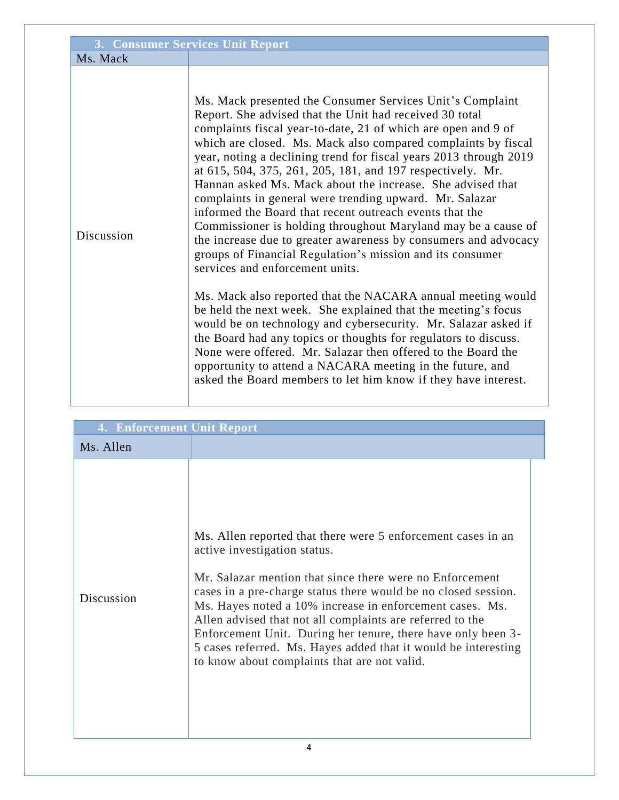| 3. Consumer Services Unit Report |                                                                                                                                                                                                                                                                                                                                                                                                                                                                                                                                                                                                                                                                                                                                                                                                                                                                                                                                                                                                                                                                                                                                                                                                                                                                                       |  |
|----------------------------------|---------------------------------------------------------------------------------------------------------------------------------------------------------------------------------------------------------------------------------------------------------------------------------------------------------------------------------------------------------------------------------------------------------------------------------------------------------------------------------------------------------------------------------------------------------------------------------------------------------------------------------------------------------------------------------------------------------------------------------------------------------------------------------------------------------------------------------------------------------------------------------------------------------------------------------------------------------------------------------------------------------------------------------------------------------------------------------------------------------------------------------------------------------------------------------------------------------------------------------------------------------------------------------------|--|
| Ms. Mack                         |                                                                                                                                                                                                                                                                                                                                                                                                                                                                                                                                                                                                                                                                                                                                                                                                                                                                                                                                                                                                                                                                                                                                                                                                                                                                                       |  |
| Discussion                       | Ms. Mack presented the Consumer Services Unit's Complaint<br>Report. She advised that the Unit had received 30 total<br>complaints fiscal year-to-date, 21 of which are open and 9 of<br>which are closed. Ms. Mack also compared complaints by fiscal<br>year, noting a declining trend for fiscal years 2013 through 2019<br>at 615, 504, 375, 261, 205, 181, and 197 respectively. Mr.<br>Hannan asked Ms. Mack about the increase. She advised that<br>complaints in general were trending upward. Mr. Salazar<br>informed the Board that recent outreach events that the<br>Commissioner is holding throughout Maryland may be a cause of<br>the increase due to greater awareness by consumers and advocacy<br>groups of Financial Regulation's mission and its consumer<br>services and enforcement units.<br>Ms. Mack also reported that the NACARA annual meeting would<br>be held the next week. She explained that the meeting's focus<br>would be on technology and cybersecurity. Mr. Salazar asked if<br>the Board had any topics or thoughts for regulators to discuss.<br>None were offered. Mr. Salazar then offered to the Board the<br>opportunity to attend a NACARA meeting in the future, and<br>asked the Board members to let him know if they have interest. |  |

| 4. Enforcement Unit Report |                                                                                                                                                                                                                                                                                                                                                                                                                                                                                                                                       |  |  |
|----------------------------|---------------------------------------------------------------------------------------------------------------------------------------------------------------------------------------------------------------------------------------------------------------------------------------------------------------------------------------------------------------------------------------------------------------------------------------------------------------------------------------------------------------------------------------|--|--|
| Ms. Allen                  |                                                                                                                                                                                                                                                                                                                                                                                                                                                                                                                                       |  |  |
| Discussion                 | Ms. Allen reported that there were 5 enforcement cases in an<br>active investigation status.<br>Mr. Salazar mention that since there were no Enforcement<br>cases in a pre-charge status there would be no closed session.<br>Ms. Hayes noted a 10% increase in enforcement cases. Ms.<br>Allen advised that not all complaints are referred to the<br>Enforcement Unit. During her tenure, there have only been 3-<br>5 cases referred. Ms. Hayes added that it would be interesting<br>to know about complaints that are not valid. |  |  |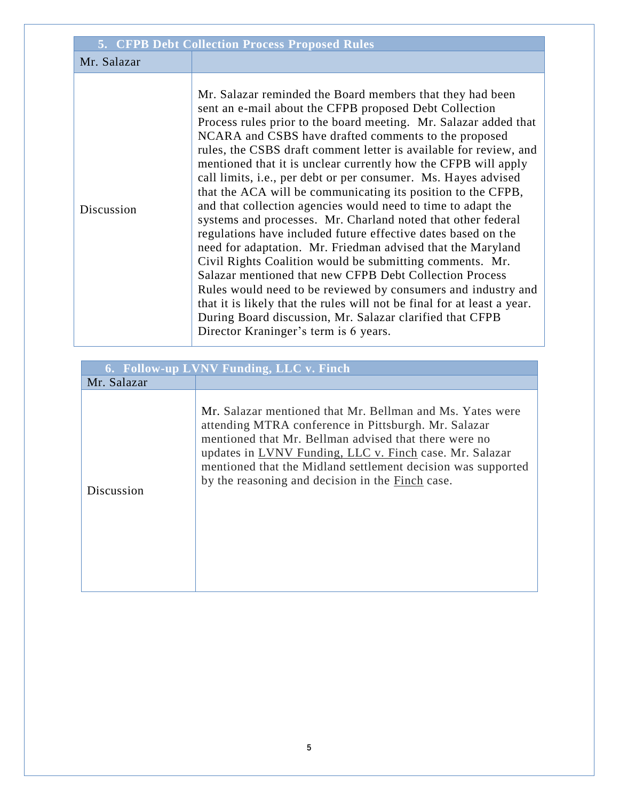| <b>5. CFPB Debt Collection Process Proposed Rules</b> |                                                                                                                                                                                                                                                                                                                                                                                                                                                                                                                                                                                                                                                                                                                                                                                                                                                                                                                                                                                                                                                                                                                                                                  |  |
|-------------------------------------------------------|------------------------------------------------------------------------------------------------------------------------------------------------------------------------------------------------------------------------------------------------------------------------------------------------------------------------------------------------------------------------------------------------------------------------------------------------------------------------------------------------------------------------------------------------------------------------------------------------------------------------------------------------------------------------------------------------------------------------------------------------------------------------------------------------------------------------------------------------------------------------------------------------------------------------------------------------------------------------------------------------------------------------------------------------------------------------------------------------------------------------------------------------------------------|--|
| Mr. Salazar                                           |                                                                                                                                                                                                                                                                                                                                                                                                                                                                                                                                                                                                                                                                                                                                                                                                                                                                                                                                                                                                                                                                                                                                                                  |  |
| Discussion                                            | Mr. Salazar reminded the Board members that they had been<br>sent an e-mail about the CFPB proposed Debt Collection<br>Process rules prior to the board meeting. Mr. Salazar added that<br>NCARA and CSBS have drafted comments to the proposed<br>rules, the CSBS draft comment letter is available for review, and<br>mentioned that it is unclear currently how the CFPB will apply<br>call limits, i.e., per debt or per consumer. Ms. Hayes advised<br>that the ACA will be communicating its position to the CFPB,<br>and that collection agencies would need to time to adapt the<br>systems and processes. Mr. Charland noted that other federal<br>regulations have included future effective dates based on the<br>need for adaptation. Mr. Friedman advised that the Maryland<br>Civil Rights Coalition would be submitting comments. Mr.<br>Salazar mentioned that new CFPB Debt Collection Process<br>Rules would need to be reviewed by consumers and industry and<br>that it is likely that the rules will not be final for at least a year.<br>During Board discussion, Mr. Salazar clarified that CFPB<br>Director Kraninger's term is 6 years. |  |

|             | 6. Follow-up LVNV Funding, LLC v. Finch                                                                                                                                                                                                                                                                                                                   |
|-------------|-----------------------------------------------------------------------------------------------------------------------------------------------------------------------------------------------------------------------------------------------------------------------------------------------------------------------------------------------------------|
| Mr. Salazar |                                                                                                                                                                                                                                                                                                                                                           |
| Discussion  | Mr. Salazar mentioned that Mr. Bellman and Ms. Yates were<br>attending MTRA conference in Pittsburgh. Mr. Salazar<br>mentioned that Mr. Bellman advised that there were no<br>updates in LVNV Funding, LLC v. Finch case. Mr. Salazar<br>mentioned that the Midland settlement decision was supported<br>by the reasoning and decision in the Finch case. |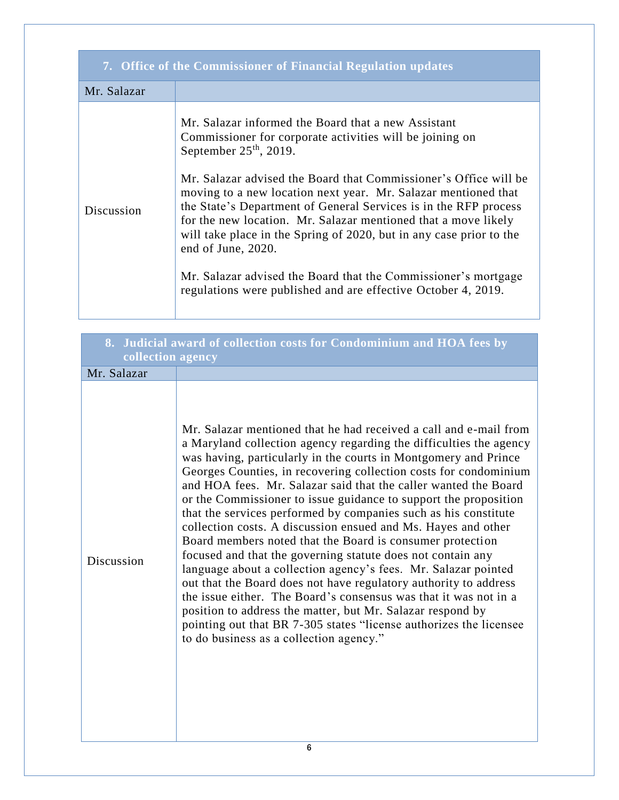| 7. Office of the Commissioner of Financial Regulation updates |                                                                                                                                                                                                                                                                                                                                                                                                                                                                                                                                                                                                                                                         |  |
|---------------------------------------------------------------|---------------------------------------------------------------------------------------------------------------------------------------------------------------------------------------------------------------------------------------------------------------------------------------------------------------------------------------------------------------------------------------------------------------------------------------------------------------------------------------------------------------------------------------------------------------------------------------------------------------------------------------------------------|--|
| Mr. Salazar                                                   |                                                                                                                                                                                                                                                                                                                                                                                                                                                                                                                                                                                                                                                         |  |
| Discussion                                                    | Mr. Salazar informed the Board that a new Assistant<br>Commissioner for corporate activities will be joining on<br>September $25th$ , 2019.<br>Mr. Salazar advised the Board that Commissioner's Office will be<br>moving to a new location next year. Mr. Salazar mentioned that<br>the State's Department of General Services is in the RFP process<br>for the new location. Mr. Salazar mentioned that a move likely<br>will take place in the Spring of 2020, but in any case prior to the<br>end of June, 2020.<br>Mr. Salazar advised the Board that the Commissioner's mortgage<br>regulations were published and are effective October 4, 2019. |  |

| collection agency | 8. Judicial award of collection costs for Condominium and HOA fees by                                                                                                                                                                                                                                                                                                                                                                                                                                                                                                                                                                                                                                                                                                                                                                                                                                                                                                                                                                                                          |
|-------------------|--------------------------------------------------------------------------------------------------------------------------------------------------------------------------------------------------------------------------------------------------------------------------------------------------------------------------------------------------------------------------------------------------------------------------------------------------------------------------------------------------------------------------------------------------------------------------------------------------------------------------------------------------------------------------------------------------------------------------------------------------------------------------------------------------------------------------------------------------------------------------------------------------------------------------------------------------------------------------------------------------------------------------------------------------------------------------------|
| Mr. Salazar       |                                                                                                                                                                                                                                                                                                                                                                                                                                                                                                                                                                                                                                                                                                                                                                                                                                                                                                                                                                                                                                                                                |
| Discussion        | Mr. Salazar mentioned that he had received a call and e-mail from<br>a Maryland collection agency regarding the difficulties the agency<br>was having, particularly in the courts in Montgomery and Prince<br>Georges Counties, in recovering collection costs for condominium<br>and HOA fees. Mr. Salazar said that the caller wanted the Board<br>or the Commissioner to issue guidance to support the proposition<br>that the services performed by companies such as his constitute<br>collection costs. A discussion ensued and Ms. Hayes and other<br>Board members noted that the Board is consumer protection<br>focused and that the governing statute does not contain any<br>language about a collection agency's fees. Mr. Salazar pointed<br>out that the Board does not have regulatory authority to address<br>the issue either. The Board's consensus was that it was not in a<br>position to address the matter, but Mr. Salazar respond by<br>pointing out that BR 7-305 states "license authorizes the licensee<br>to do business as a collection agency." |